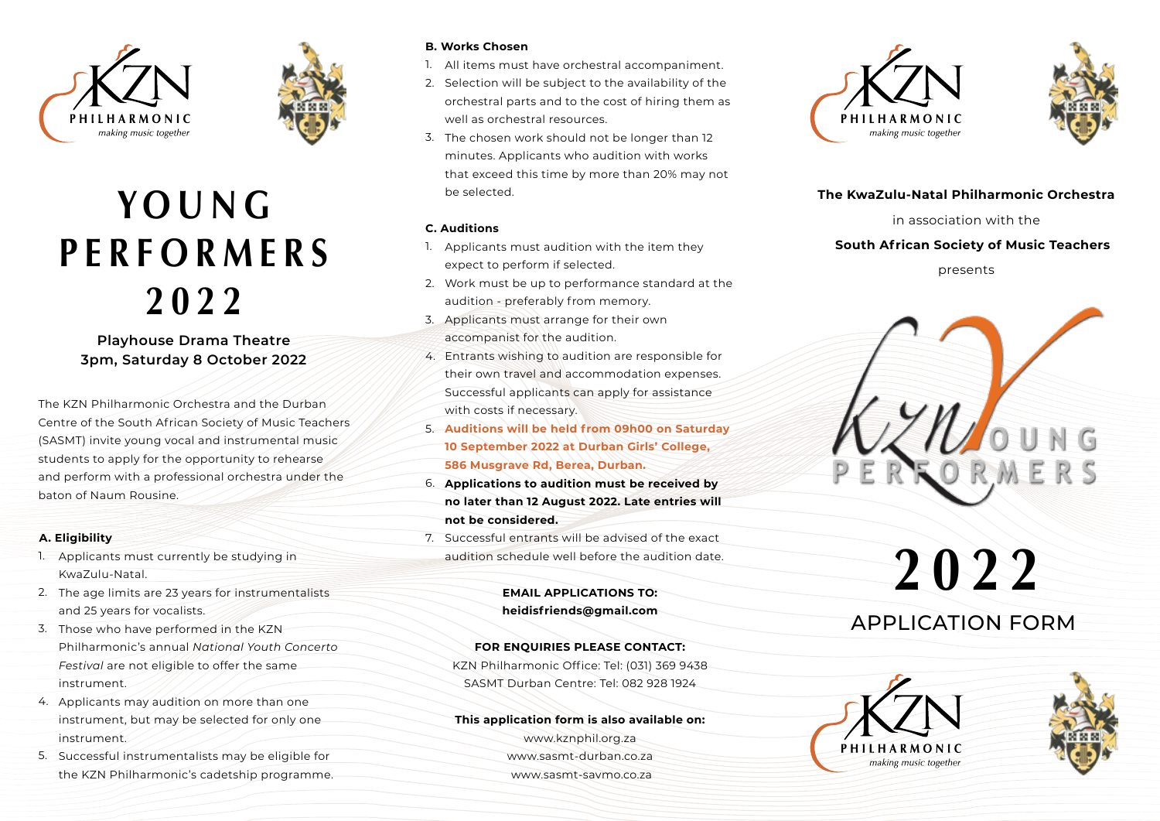



## **Y O U N G P E R F O R M E R S 2022**

#### **Playhouse Drama Theatre 3pm, Saturday 8 October 2022**

The KZN Philharmonic Orchestra and the Durban Centre of the South African Society of Music Teachers (SASMT) invite young vocal and instrumental music students to apply for the opportunity to rehearse and perform with a professional orchestra under the baton of Naum Rousine.

#### **A. Eligibility**

- 1. Applicants must currently be studying in KwaZulu-Natal.
- 2. The age limits are 23 years for instrumentalists and 25 years for vocalists.
- 3. Those who have performed in the KZN-Philharmonic's annual *National Youth Concerto Festival* are not eligible to offer the same instrument.
- 4. Applicants may audition on more than one instrument, but may be selected for only one instrument.
- 5. Successful instrumentalists may be eligible for the KZN Philharmonic's cadetship programme.

#### **B. Works Chosen**

- All items must have orchestral accompaniment. 1.
- 2. Selection will be subject to the availability of the orchestral parts and to the cost of hiring them as well as orchestral resources.
- The chosen work should not be longer than 12 3. minutes. Applicants who audition with works that exceed this time by more than 20% may not be selected.

#### **C. Auditions**

- 1. Applicants must audition with the item they expect to perform if selected.
- Work must be up to performance standard at the 2. audition - preferably from memory.
- 3. Applicants must arrange for their own accompanist for the audition.
- Entrants wishing to audition are responsible for 4. their own travel and accommodation expenses. Successful applicants can apply for assistance with costs if necessary.
- **Auditions will be held from 09h00 on Saturday**  5. **10 September 2022 at Durban Girls' College, 586 Musgrave Rd, Berea, Durban.**
- **Applications to audition must be received by**  6. **no later than 12 August 2022. Late entries will not be considered.**
- 7. Successful entrants will be advised of the exact audition schedule well before the audition date.

#### **EMAIL APPLICATIONS TO: heidisfriends@gmail.com**

#### **FOR ENQUIRIES PLEASE CONTACT:**

KZN Philharmonic Office: Tel: (031) 369 9438 SASMT Durban Centre: Tel: 082 928 1924

#### **This application form is also available on:**

www.kznphil.org.za www.sasmt-durban.co.za www.sasmt-savmo.co.za





#### **The KwaZulu-Natal Philharmonic Orchestra**

in association with the

#### **South African Society of Music Teachers**

presents



# **2022**